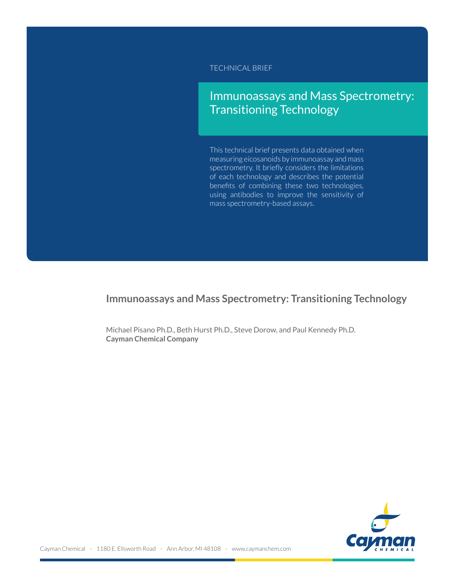TECHNICAL BRIEF

# Immunoassays and Mass Spectrometry: Transitioning Technology

This technical brief presents data obtained when measuring eicosanoids by immunoassay and mass spectrometry. It briefly considers the limitations of each technology and describes the potential benefits of combining these two technologies, using antibodies to improve the sensitivity of mass spectrometry-based assays.

# **Immunoassays and Mass Spectrometry: Transitioning Technology**

Michael Pisano Ph.D., Beth Hurst Ph.D., Steve Dorow, and Paul Kennedy Ph.D. **Cayman Chemical Company**

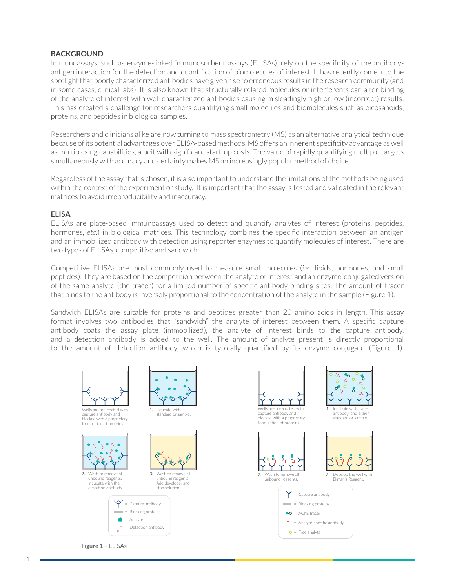#### **BACKGROUND**

Immunoassays, such as enzyme-linked immunosorbent assays (ELISAs), rely on the specificity of the antibodyantigen interaction for the detection and quantification of biomolecules of interest. It has recently come into the spotlight that poorly characterized antibodies have given rise to erroneous results in the research community (and in some cases, clinical labs). It is also known that structurally related molecules or interferents can alter binding of the analyte of interest with well characterized antibodies causing misleadingly high or low (incorrect) results. This has created a challenge for researchers quantifying small molecules and biomolecules such as eicosanoids, proteins, and peptides in biological samples.

Researchers and clinicians alike are now turning to mass spectrometry (MS) as an alternative analytical technique because of its potential advantages over ELISA-based methods. MS offers an inherent specificity advantage as well as multiplexing capabilities, albeit with significant start-up costs. The value of rapidly quantifying multiple targets simultaneously with accuracy and certainty makes MS an increasingly popular method of choice.

Regardless of the assay that is chosen, it is also important to understand the limitations of the methods being used within the context of the experiment or study. It is important that the assay is tested and validated in the relevant matrices to avoid irreproducibility and inaccuracy.

#### **ELISA**

ELISAs are plate-based immunoassays used to detect and quantify analytes of interest (proteins, peptides, hormones, *etc*.) in biological matrices. This technology combines the specific interaction between an antigen and an immobilized antibody with detection using reporter enzymes to quantify molecules of interest. There are two types of ELISAs, competitive and sandwich.

Competitive ELISAs are most commonly used to measure small molecules (*i.e.*, lipids, hormones, and small peptides). They are based on the competition between the analyte of interest and an enzyme-conjugated version of the same analyte (the tracer) for a limited number of specific antibody binding sites. The amount of tracer that binds to the antibody is inversely proportional to the concentration of the analyte in the sample (Figure 1).

Sandwich ELISAs are suitable for proteins and peptides greater than 20 amino acids in length. This assay format involves two antibodies that "sandwich" the analyte of interest between them. A specific capture antibody coats the assay plate (immobilized), the analyte of interest binds to the capture antibody, and a detection antibody is added to the well. The amount of analyte present is directly proportional to the amount of detection antibody, which is typically quantified by its enzyme conjugate (Figure 1).



**Figure 1 –** ELISAs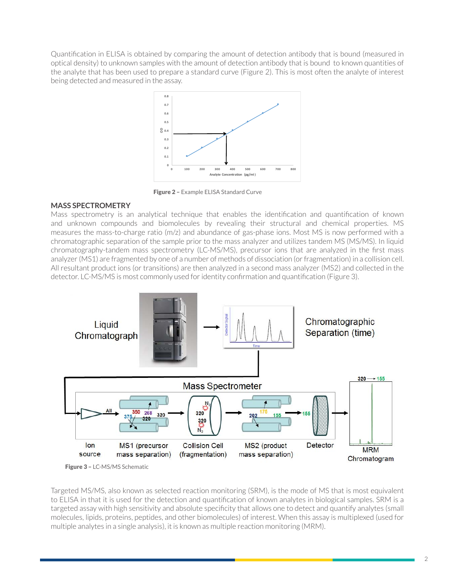Quantification in ELISA is obtained by comparing the amount of detection antibody that is bound (measured in optical density) to unknown samples with the amount of detection antibody that is bound to known quantities of the analyte that has been used to prepare a standard curve (Figure 2). This is most often the analyte of interest being detected and measured in the assay.



Figure 2 - Example ELISA Standard Curve  $\Gamma$  is the concentration of concentrations  $\Gamma$  is a concentration or  $\Gamma$  .

## matching the samples of the samples of the study. Stable **in the stable of the stable of the stable of the stable of the stable of the stable of the stable of the stable of the stable of the stable of the stable of the sta**

Mass spectrometry is an analytical technique that enables the identification and quantification of known and unknown compounds and biomolecules by revealing their structural and chemical properties. MS measures the mass-to-charge ratio (m/z) and abundance of gas-phase ions. Most MS is now performed with a measures the mass-to-charge ratio (m/z) and abundance or gas-phase ions. Most MD is now performed with a<br>chromatographic separation of the sample prior to the mass analyzer and utilizes tandem MS (MS/MS). In liquid chromatographic separation of the sample prior to the mass analyzer and dunzes tandem his (his/his/hinging<br>chromatography-tandem mass spectrometry (LC-MS/MS), precursor ions that are analyzed in the first mass analyzer (MS1) are fragmented by one of a number of methods of dissociation (or fragmentation) in a collision cell. All resultant product ions (or transitions) are then analyzed in a second mass analyzer (MS2) and collected in the detector. LC-MS/MS is most commonly used for identity confirmation and quantification (Figure 3).



Figure 3 – LC-MS/MS Schematic

Targeted MS/MS, also known as selected reaction monitoring (SRM), is the mode of MS that is most equivalent **FIGURE** to ELISA in that it is used for the detection and quantification of known analytes in biological samples. SRM is a targeted assay with high sensitivity and absolute specificity that allows one to detect and quantify analytes (small molecules, lipids, proteins, peptides, and other biomolecules) of interest. When this assay is multiplexed (used for multiple analytes in a single analysis), it is known as multiple reaction monitoring (MRM).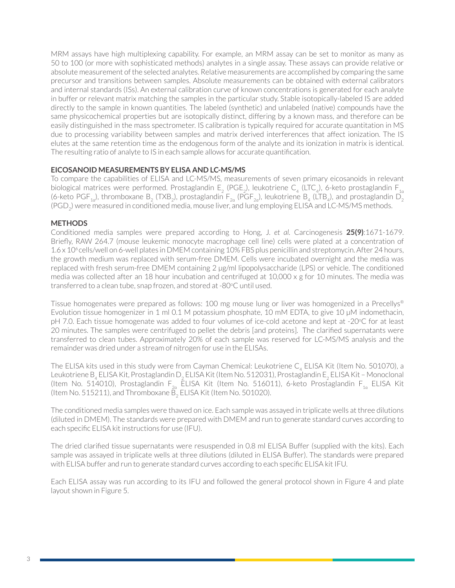MRM assays have high multiplexing capability. For example, an MRM assay can be set to monitor as many as 50 to 100 (or more with sophisticated methods) analytes in a single assay. These assays can provide relative or absolute measurement of the selected analytes. Relative measurements are accomplished by comparing the same precursor and transitions between samples. Absolute measurements can be obtained with external calibrators and internal standards (ISs). An external calibration curve of known concentrations is generated for each analyte in buffer or relevant matrix matching the samples in the particular study. Stable isotopically-labeled IS are added directly to the sample in known quantities. The labeled (synthetic) and unlabeled (native) compounds have the same physicochemical properties but are isotopically distinct, differing by a known mass, and therefore can be easily distinguished in the mass spectrometer. IS calibration is typically required for accurate quantitation in MS due to processing variability between samples and matrix derived interferences that affect ionization. The IS elutes at the same retention time as the endogenous form of the analyte and its ionization in matrix is identical. The resulting ratio of analyte to IS in each sample allows for accurate quantification.

### **EICOSANOID MEASUREMENTS BY ELISA AND LC-MS/MS**

To compare the capabilities of ELISA and LC-MS/MS, measurements of seven primary eicosanoids in relevant biological matrices were performed. Prostaglandin E<sub>2</sub> (PGE<sub>2</sub>), leukotriene C<sub>4</sub> (LTC<sub>4</sub>), 6-keto prostaglandin F<sub>1a</sub> (6-keto PGF $_{\rm 1a}$ ), thromboxane B $_{\rm 2}$  (TXB $_{\rm 2}$ ), prostaglandin F $_{\rm 2a}$  (PGF $_{\rm 2a}$ ), leukotriene B $_{\rm 4}$  (LTB $_{\rm 4}$ ), and prostaglandin D $_{\rm 2}$ (PGD<sub>2</sub>) were measured in conditioned media, mouse liver, and lung employing ELISA and LC-MS/MS methods.

### **METHODS**

Conditioned media samples were prepared according to Hong, J. *et al.* Carcinogenesis **25(9)**:1671-1679. Briefly, RAW 264.7 (mouse leukemic monocyte macrophage cell line) cells were plated at a concentration of 1.6 x 10<sup>6</sup> cells/well on 6-well plates in DMEM containing 10% FBS plus penicillin and streptomycin. After 24 hours, the growth medium was replaced with serum-free DMEM. Cells were incubated overnight and the media was replaced with fresh serum-free DMEM containing 2 µg/ml lipopolysaccharide (LPS) or vehicle. The conditioned media was collected after an 18 hour incubation and centrifuged at 10,000 x g for 10 minutes. The media was transferred to a clean tube, snap frozen, and stored at -80°C until used.

Tissue homogenates were prepared as follows: 100 mg mouse lung or liver was homogenized in a Precellys® Evolution tissue homogenizer in 1 ml 0.1 M potassium phosphate, 10 mM EDTA, to give 10 µM indomethacin, pH 7.0. Each tissue homogenate was added to four volumes of ice-cold acetone and kept at -20°C for at least 20 minutes. The samples were centrifuged to pellet the debris [and proteins]. The clarified supernatants were transferred to clean tubes. Approximately 20% of each sample was reserved for LC-MS/MS analysis and the remainder was dried under a stream of nitrogen for use in the ELISAs.

The ELISA kits used in this study were from Cayman Chemical: Leukotriene  $C_4$  ELISA Kit (Item No. 501070), a Leukotriene B<sub>4</sub> ELISA Kit, Prostaglandin D<sub>2</sub> ELISA Kit (Item No. 512031), Prostaglandin E<sub>2</sub> ELISA Kit - Monoclonal (Item No. 514010), Prostaglandin F<sub>2a</sub> ELISA Kit (Item No. 516011), 6-keto Prostaglandin F<sub>1a</sub> ELISA Kit (Item No. 515211), and Thromboxane B $_{\rm 2}$  ELISA Kit (Item No. 501020).

The conditioned media samples were thawed on ice. Each sample was assayed in triplicate wells at three dilutions (diluted in DMEM). The standards were prepared with DMEM and run to generate standard curves according to each specific ELISA kit instructions for use (IFU).

The dried clarified tissue supernatants were resuspended in 0.8 ml ELISA Buffer (supplied with the kits). Each sample was assayed in triplicate wells at three dilutions (diluted in ELISA Buffer). The standards were prepared with ELISA buffer and run to generate standard curves according to each specific ELISA kit IFU.

Each ELISA assay was run according to its IFU and followed the general protocol shown in Figure 4 and plate layout shown in Figure 5.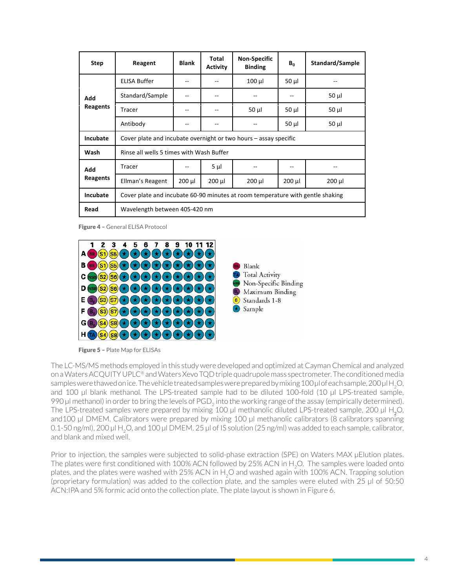| <b>Step</b>     | Reagent                                                                        | <b>Blank</b> | Total<br><b>Activity</b> | <b>Non-Specific</b><br><b>Binding</b> | $B_0$       | Standard/Sample |  |
|-----------------|--------------------------------------------------------------------------------|--------------|--------------------------|---------------------------------------|-------------|-----------------|--|
| Add<br>Reagents | <b>ELISA Buffer</b>                                                            |              |                          | $100 \mu$                             | $50 \mu$    |                 |  |
|                 | Standard/Sample                                                                |              |                          |                                       |             | $50 \mu$        |  |
|                 | Tracer                                                                         | --           |                          | $50 \mu$                              | $50 \mu$    | $50 \mu$        |  |
|                 | Antibody                                                                       |              |                          |                                       | $50 \mu$    | $50 \mu$        |  |
| <b>Incubate</b> | Cover plate and incubate overnight or two hours $-$ assay specific             |              |                          |                                       |             |                 |  |
| Wash            | Rinse all wells 5 times with Wash Buffer                                       |              |                          |                                       |             |                 |  |
| Add<br>Reagents | Tracer                                                                         |              | 5 µl                     |                                       |             |                 |  |
|                 | Ellman's Reagent                                                               | $200 \mu$    | $200 \mu l$              | $200 \mu$                             | $200 \mu l$ | $200 \mu l$     |  |
| Incubate        | Cover plate and incubate 60-90 minutes at room temperature with gentle shaking |              |                          |                                       |             |                 |  |
| Read            | Wavelength between 405-420 nm                                                  |              |                          |                                       |             |                 |  |

Figure 4 – General ELISA Protocol



Figure 5 – Plate Map for ELISAs

The LC-MS/MS methods employed in this study were developed and optimized at Cayman Chemical and analyzed on a Waters ACQUITY UPLC® and Waters Xevo TQD triple quadrupole mass spectrometer. The conditioned media samples were thawed on ice. The vehicle treated samples were prepared by mixing 100 µl of each sample, 200 µl H<sub>2</sub>O, and 100  $\mu$  blank methanol. The LPS-treated samples were prepared by mixing 100 proreaction mpic, 200 prings, and 100 µ blank methanol. The Er 3-treated sample had to be undted 100-lold (10 µl Er 3-treated sample,<br>990 µl methanol) in order to bring the levels of PGD<sub>2</sub> into the working range of the assay (empirically determined). The LPS-treated samples were prepared by mixing 100  $\mu$ l methanolic diluted LPS-treated sample, 200  $\mu$ l H<sub>2</sub>O, and 100 µl DMEM. Calibrators were prepared by mixing 100 µl methanolic calibrators (8 calibrators spanning 0.1-50 ng/ml), 200 µl H<sub>2</sub>O, and 100 µl DMEM. 25 µl of IS solution (25 ng/ml) was added to each sample, calibrator, and blank and mixed well. The DIGIT CITY CHANGE WERE STUDY ON THE STUDY OF THE STUDY OF THE STUDY OF THE STUDY OF THE STUDY OF THE STUDY OF THE STUDY OF THE STUDY OF THE STUDY OF THE STUDY OF THE STUDY OF THE STUDY OF THE STUDY OF THE STUDY OF THE 990 µl methanol) in order to bring the levels of PGD<sub>2</sub> into the working range of the assay (e

Prior to injection, the samples were subjected to solid-phase extraction (SPE) on Waters MAX µElution plates. The plates were first conditioned with 100% ACN followed by 25% ACN in H<sub>2</sub>O. The samples were loaded onto plates, and the plates were washed with 25% ACN in H<sub>2</sub>O and washed again with 100% ACN. Trapping solution (proprietary formulation) was added to the collection plate, and the samples were eluted with 25  $\mu$ l of 50:50 ACN:IPA and 5% formic acid onto the collection plate. The plate layout is shown in Figure 6.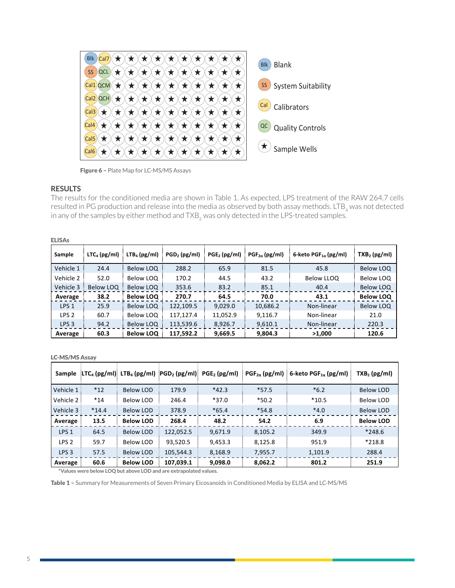

Figure 6 - Plate Map for LC-MS/MS Assays

### **RESULTS**

The results for the conditioned media are shown in Table 1. As expected, LPS treatment of the RAW 264.7 cells resulted in PG production and release into the media as observed by both assay methods. LTB<sub>4</sub> was not detected in any of the samples by either method and TXB<sub>2</sub> was only detected in the LPS-treated samples.

#### ELISAs

| <b>ELISAs</b>    |                |                  |                |                |                         |                                  |                  |
|------------------|----------------|------------------|----------------|----------------|-------------------------|----------------------------------|------------------|
| Sample           | $LTC4$ (pg/ml) | $LTB4$ (pg/ml)   | $PGD2$ (pg/ml) | $PGE2$ (pg/ml) | $PGF_{2\alpha}$ (pg/ml) | 6-keto PGF <sub>1a</sub> (pg/ml) | $TXB2$ (pg/ml)   |
| Vehicle 1        | 24.4           | Below LOQ        | 288.2          | 65.9           | 81.5                    | 45.8                             | Below LOQ        |
| Vehicle 2        | 52.0           | Below LOQ        | 170.2          | 44.5           | 43.2                    | Below LLOQ                       | Below LOQ        |
| Vehicle 3        | Below LOQ      | Below LOQ        | 353.6          | 83.2           | 85.1                    | 40.4                             | Below LOQ        |
| Average          | 38.2           | <b>Below LOQ</b> | 270.7          | 64.5           | 70.0                    | 43.1                             | <b>Below LOQ</b> |
| LPS <sub>1</sub> | 25.9           | Below LOQ        | 122.109.5      | 9,029.0        | 10,686.2                | Non-linear                       | Below LOQ        |
| LPS <sub>2</sub> | 60.7           | Below LOQ        | 117,127.4      | 11,052.9       | 9,116.7                 | Non-linear                       | 21.0             |
| LPS <sub>3</sub> | 94.2           | Below LOQ        | 113,539.6      | 8,926.7        | 9,610.1                 | Non-linear                       | 220.3            |
| Average          | 60.3           | <b>Below LOQ</b> | 117,592.2      | 9,669.5        | 9,804.3                 | >1,000                           | 120.6            |

#### LC-MS/MS Assay and the control of the control of the control of the control of the control of the control of the control of the control of the control of the control of the control of the control of the control of the cont

| <b>Sample</b>    |         | $\left  \text{LTC}_4 \left( \text{pg/ml} \right) \right $ LTB <sub>4</sub> (pg/ml) $\left  \text{PGD}_2 \left( \text{pg/ml} \right) \right $ |           | $PGE2$ (pg/ml) | $PGF_{2\alpha}$ (pg/ml) | 6-keto PGF <sub>1a</sub> (pg/ml) | $TXB2$ (pg/ml)   |
|------------------|---------|----------------------------------------------------------------------------------------------------------------------------------------------|-----------|----------------|-------------------------|----------------------------------|------------------|
| Vehicle 1        | $*12$   | <b>Below LOD</b>                                                                                                                             | 179.9     | $*42.3$        | $*57.5$                 | $*6.2$                           | <b>Below LOD</b> |
| Vehicle 2        | $*14$   | Below LOD                                                                                                                                    | 246.4     | $*37.0$        | $*50.2$                 | $*10.5$                          | <b>Below LOD</b> |
| Vehicle 3        | $*14.4$ | Below LOD                                                                                                                                    | 378.9     | $*65.4$        | $*54.8$                 | $*4.0$                           | <b>Below LOD</b> |
| Average          | 13.5    | <b>Below LOD</b>                                                                                                                             | 268.4     | 48.2           | 54.2                    | 6.9                              | <b>Below LOD</b> |
| LPS <sub>1</sub> | 64.5    | <b>Below LOD</b>                                                                                                                             | 122,052.5 | 9,671.9        | 8,105.2                 | 349.9                            | $*248.6$         |
| LPS <sub>2</sub> | 59.7    | Below LOD                                                                                                                                    | 93.520.5  | 9,453.3        | 8,125.8                 | 951.9                            | $*218.8$         |
| LPS <sub>3</sub> | 57.5    | <b>Below LOD</b>                                                                                                                             | 105,544.3 | 8,168.9        | 7,955.7                 | 1,101.9                          | 288.4            |
| Average          | 60.6    | <b>Below LOD</b>                                                                                                                             | 107,039.1 | 9,098.0        | 8,062.2                 | 801.2                            | 251.9            |

 **\*Values were below LOQ but above LOD and are extrapolated values.** 

Table 1 - Summary for Measurements of Seven Primary Eicosanoids in Conditioned Media by ELISA and LC-MS/MS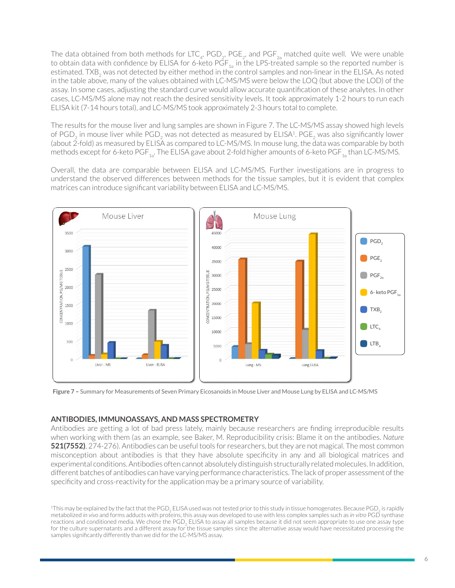The data obtained from both methods for LTC<sub>4</sub>, PGD<sub>2</sub>, PGE<sub>2</sub>, and PGF<sub>2a</sub> matched quite well. We were unable to obtain data with confidence by ELISA for 6-keto  $\mathsf{PGF}_{1\alpha}$  in the LPS-treated sample so the reported number is estimated. TXB<sub>2</sub> was not detected by either method in the control samples and non-linear in the ELISA. As noted in the table above, many of the values obtained with LC-MS/MS were below the LOQ (but above the LOD) of the assay. In some cases, adjusting the standard curve would allow accurate quantification of these analytes. In other cases, LC-MS/MS alone may not reach the desired sensitivity levels. It took approximately 1-2 hours to run each ELISA kit (7-14 hours total), and LC-MS/MS took approximately 2-3 hours total to complete.

The results for the mouse liver and lung samples are shown in Figure 7. The LC-MS/MS assay showed high levels of PGD<sub>2</sub> in mouse liver while PGD<sub>2</sub> was not detected as measured by ELISA<sup>1</sup>. PGE<sub>2</sub> was also significantly lower (about 2-fold) as measured by ELISA as compared to LC-MS/MS. In mouse lung, the data was comparable by both methods except for 6-keto PGF $_{\rm 1a}$ . The ELISA gave about 2-fold higher amounts of 6-keto PGF $_{\rm 1a}$ than LC-MS/MS.

Overall, the data are comparable between ELISA and LC-MS/MS. Further investigations are in progress to understand the observed differences between methods for the tissue samples, but it is evident that complex matrices can introduce significant variability between ELISA and LC-MS/MS.



**Figure 7** – Summary for Measurements of Seven Primary Eicosanoids in Mouse Liver and Mouse Lung by ELISA and LC-MS/MS

## **ANTIBODIES, IMMUNOASSAYS, AND MASS SPECTROMETRY**

Antibodies are getting a lot of bad press lately, mainly because researchers are finding irreproducible results when working with them (as an example, see Baker, M. Reproducibility crisis: Blame it on the antibodies. *Nature* **521(7552)**, 274-276). Antibodies can be useful tools for researchers, but they are not magical. The most common misconception about antibodies is that they have absolute specificity in any and all biological matrices and experimental conditions. Antibodies often cannot absolutely distinguish structurally related molecules. In addition, different batches of antibodies can have varying performance characteristics. The lack of proper assessment of the specificity and cross-reactivity for the application may be a primary source of variability.  $\overline{\phantom{a}}$  $\frac{1}{2}$ ,  $\frac{1}{2}$  +  $\frac{2}{10}$ , mitubodies carribe discitutibodis for researchers, but they are flotting in  $d_{\text{in}}$  distinguished at the distribution, different batches  $\frac{d}{dt}$  and  $\frac{d}{dt}$  are  $\frac{d}{dt}$  and  $\frac{d}{dt}$  and  $\frac{d}{dt}$  are  $\frac{d}{dt}$ 

Page **8** of **10**

<sup>&</sup>lt;sup>1</sup>This may be explained by the fact that the PGD<sub>2</sub> ELISA used was not tested prior to this study in tissue homogenates. Because PGD<sub>2</sub> is rapidly metabolized in vivo and forms adducts with proteins, this assay was developed to use with less complex samples such as in vitro PGD synthase reactions and conditioned media. We chose the  $PGD_2$  ELISA to assay all samples because it did not seem appropriate to use one assay type for the culture supernatants and a different assay for the tissue samples since the alternative assay would have necessitated processing the samples significantly differently than we did for the LC-MS/MS assay.